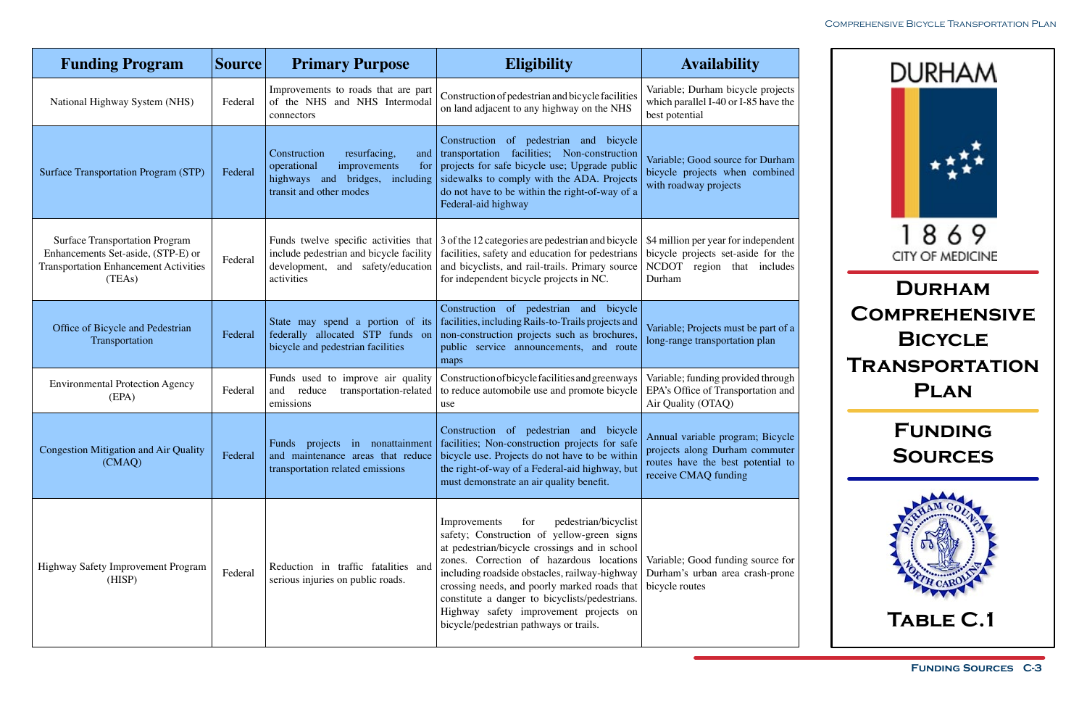

| <b>Funding Program</b>                                                                                                                | <b>Source</b> | <b>Primary Purpose</b>                                                                                                                  | <b>Eligibility</b>                                                                                                                                                                                                                                                                                                                                                                                                            | <b>Availability</b>                                                                                                             |
|---------------------------------------------------------------------------------------------------------------------------------------|---------------|-----------------------------------------------------------------------------------------------------------------------------------------|-------------------------------------------------------------------------------------------------------------------------------------------------------------------------------------------------------------------------------------------------------------------------------------------------------------------------------------------------------------------------------------------------------------------------------|---------------------------------------------------------------------------------------------------------------------------------|
| National Highway System (NHS)                                                                                                         | Federal       | Improvements to roads that are part<br>of the NHS and NHS Intermodal<br>connectors                                                      | Construction of pedestrian and bicycle facilities<br>on land adjacent to any highway on the NHS                                                                                                                                                                                                                                                                                                                               | Variable; Durham bicycle projects<br>which parallel I-40 or I-85 have the<br>best potential                                     |
| <b>Surface Transportation Program (STP)</b>                                                                                           | Federal       | Construction<br>resurfacing,<br>and<br>operational<br>improvements<br>for<br>highways and bridges, including<br>transit and other modes | Construction of pedestrian and bicycle<br>transportation facilities; Non-construction<br>projects for safe bicycle use; Upgrade public<br>sidewalks to comply with the ADA. Projects<br>do not have to be within the right-of-way of a<br>Federal-aid highway                                                                                                                                                                 | Variable; Good source for Durham<br>bicycle projects when combined<br>with roadway projects                                     |
| <b>Surface Transportation Program</b><br>Enhancements Set-aside, (STP-E) or<br><b>Transportation Enhancement Activities</b><br>(TEAs) | Federal       | Funds twelve specific activities that<br>include pedestrian and bicycle facility<br>development, and safety/education<br>activities     | 3 of the 12 categories are pedestrian and bicycle<br>facilities, safety and education for pedestrians<br>and bicyclists, and rail-trails. Primary source<br>for independent bicycle projects in NC.                                                                                                                                                                                                                           | \$4 million per year for independent<br>bicycle projects set-aside for the<br>NCDOT region that includes<br>Durham              |
| Office of Bicycle and Pedestrian<br>Transportation                                                                                    | Federal       | State may spend a portion of its<br>federally allocated STP funds on<br>bicycle and pedestrian facilities                               | Construction of pedestrian and bicycle<br>facilities, including Rails-to-Trails projects and<br>non-construction projects such as brochures,<br>public service announcements, and route<br>maps                                                                                                                                                                                                                               | Variable; Projects must be part of a<br>long-range transportation plan                                                          |
| <b>Environmental Protection Agency</b><br>(EPA)                                                                                       | Federal       | Funds used to improve air quality<br>reduce<br>transportation-related<br>and<br>emissions                                               | Construction of bicycle facilities and greenways<br>to reduce automobile use and promote bicycle<br>use                                                                                                                                                                                                                                                                                                                       | Variable; funding provided through<br>EPA's Office of Transportation and<br>Air Quality (OTAQ)                                  |
| <b>Congestion Mitigation and Air Quality</b><br>(CMAQ)                                                                                | Federal       | transportation related emissions                                                                                                        | Construction of pedestrian and bicycle<br>Funds projects in nonattainment facilities; Non-construction projects for safe<br>and maintenance areas that reduce bicycle use. Projects do not have to be within<br>the right-of-way of a Federal-aid highway, but<br>must demonstrate an air quality benefit.                                                                                                                    | Annual variable program; Bicycle<br>projects along Durham commuter<br>routes have the best potential to<br>receive CMAQ funding |
| Highway Safety Improvement Program<br>(HISP)                                                                                          | Federal       | Reduction in traffic fatalities and<br>serious injuries on public roads.                                                                | pedestrian/bicyclist<br>Improvements<br>for<br>safety; Construction of yellow-green signs<br>at pedestrian/bicycle crossings and in school<br>zones. Correction of hazardous locations<br>including roadside obstacles, railway-highway<br>crossing needs, and poorly marked roads that<br>constitute a danger to bicyclists/pedestrians.<br>Highway safety improvement projects on<br>bicycle/pedestrian pathways or trails. | Variable; Good funding source for<br>Durham's urban area crash-prone<br>bicycle routes                                          |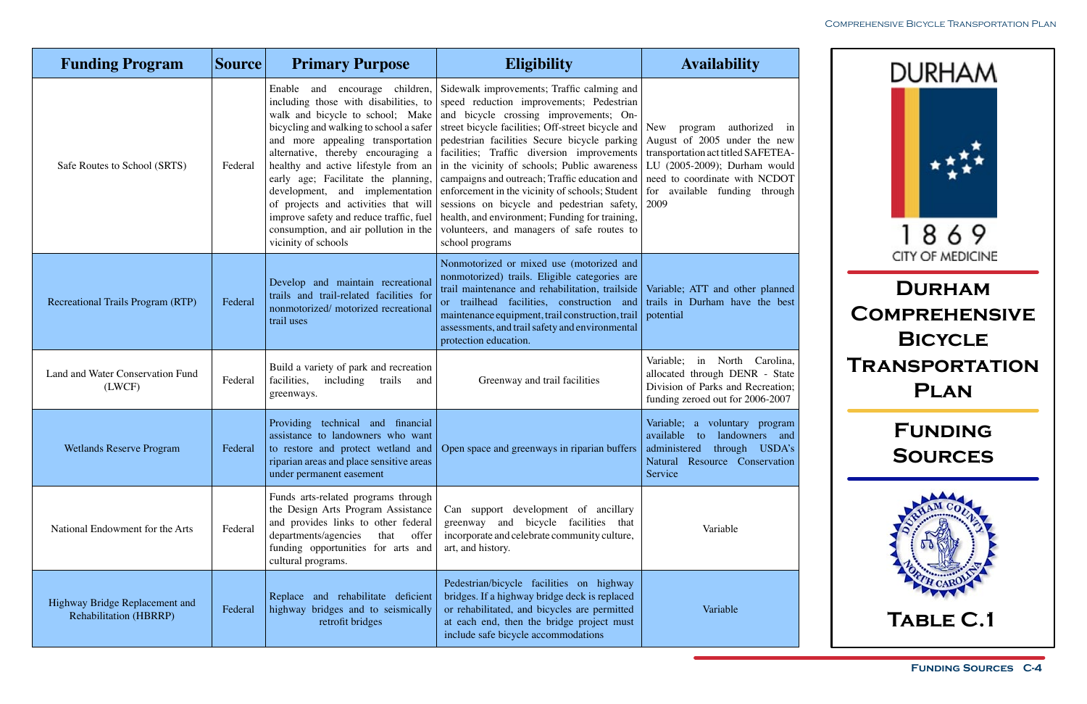

| <b>Funding Program</b>                                          | <b>Source</b> | <b>Primary Purpose</b>                                                                                                                                                                                                                                                                                                                                                                  | <b>Eligibility</b>                                                                                                                                                                                                                                                                                                                                                                                                                                                                                                                                                                                                                                                                                                     | <b>Availability</b>                                                                                                                                                                                                    |
|-----------------------------------------------------------------|---------------|-----------------------------------------------------------------------------------------------------------------------------------------------------------------------------------------------------------------------------------------------------------------------------------------------------------------------------------------------------------------------------------------|------------------------------------------------------------------------------------------------------------------------------------------------------------------------------------------------------------------------------------------------------------------------------------------------------------------------------------------------------------------------------------------------------------------------------------------------------------------------------------------------------------------------------------------------------------------------------------------------------------------------------------------------------------------------------------------------------------------------|------------------------------------------------------------------------------------------------------------------------------------------------------------------------------------------------------------------------|
| Safe Routes to School (SRTS)                                    | Federal       | including those with disabilities, to<br>walk and bicycle to school; Make<br>bicycling and walking to school a safer<br>alternative, thereby encouraging a<br>early age; Facilitate the planning,<br>development, and implementation<br>of projects and activities that will<br>improve safety and reduce traffic, fuel<br>consumption, and air pollution in the<br>vicinity of schools | Enable and encourage children, Sidewalk improvements; Traffic calming and<br>speed reduction improvements; Pedestrian<br>and bicycle crossing improvements; On-<br>street bicycle facilities; Off-street bicycle and<br>and more appealing transportation pedestrian facilities Secure bicycle parking<br>facilities; Traffic diversion improvements<br>healthy and active lifestyle from an $\vert$ in the vicinity of schools; Public awareness<br>campaigns and outreach; Traffic education and<br>enforcement in the vicinity of schools; Student<br>sessions on bicycle and pedestrian safety,<br>health, and environment; Funding for training,<br>volunteers, and managers of safe routes to<br>school programs | <b>New</b><br>authorized in<br>program<br>August of 2005 under the new<br>transportation act titled SAFETEA-<br>LU (2005-2009); Durham would<br>need to coordinate with NCDOT<br>for available funding through<br>2009 |
| <b>Recreational Trails Program (RTP)</b>                        | Federal       | Develop and maintain recreational<br>trails and trail-related facilities for<br>nonmotorized/ motorized recreational<br>trail uses                                                                                                                                                                                                                                                      | Nonmotorized or mixed use (motorized and<br>nonmotorized) trails. Eligible categories are<br>trail maintenance and rehabilitation, trailside<br>or trailhead facilities, construction and<br>maintenance equipment, trail construction, trail<br>assessments, and trail safety and environmental<br>protection education.                                                                                                                                                                                                                                                                                                                                                                                              | Variable; ATT and other planned<br>trails in Durham have the best<br>potential                                                                                                                                         |
| Land and Water Conservation Fund<br>(LWCF)                      | Federal       | Build a variety of park and recreation<br>facilities,<br>including<br>trails<br>and<br>greenways.                                                                                                                                                                                                                                                                                       | Greenway and trail facilities                                                                                                                                                                                                                                                                                                                                                                                                                                                                                                                                                                                                                                                                                          | Variable; in North Carolina,<br>allocated through DENR - State<br>Division of Parks and Recreation;<br>funding zeroed out for 2006-2007                                                                                |
| <b>Wetlands Reserve Program</b>                                 | Federal       | Providing technical and financial<br>assistance to landowners who want<br>riparian areas and place sensitive areas<br>under permanent easement                                                                                                                                                                                                                                          | to restore and protect wetland and Open space and greenways in riparian buffers                                                                                                                                                                                                                                                                                                                                                                                                                                                                                                                                                                                                                                        | Variable; a voluntary program<br>available<br>landowners and<br>to<br>administered through USDA's<br>Natural Resource Conservation<br>Service                                                                          |
| National Endowment for the Arts                                 | Federal       | Funds arts-related programs through<br>the Design Arts Program Assistance<br>and provides links to other federal<br>departments/agencies<br>that<br>offer<br>funding opportunities for arts and<br>cultural programs.                                                                                                                                                                   | Can support development of ancillary<br>greenway and bicycle facilities that<br>incorporate and celebrate community culture,<br>art, and history.                                                                                                                                                                                                                                                                                                                                                                                                                                                                                                                                                                      | Variable                                                                                                                                                                                                               |
| Highway Bridge Replacement and<br><b>Rehabilitation (HBRRP)</b> | Federal       | Replace and rehabilitate deficient<br>highway bridges and to seismically<br>retrofit bridges                                                                                                                                                                                                                                                                                            | Pedestrian/bicycle facilities on highway<br>bridges. If a highway bridge deck is replaced<br>or rehabilitated, and bicycles are permitted<br>at each end, then the bridge project must<br>include safe bicycle accommodations                                                                                                                                                                                                                                                                                                                                                                                                                                                                                          | Variable                                                                                                                                                                                                               |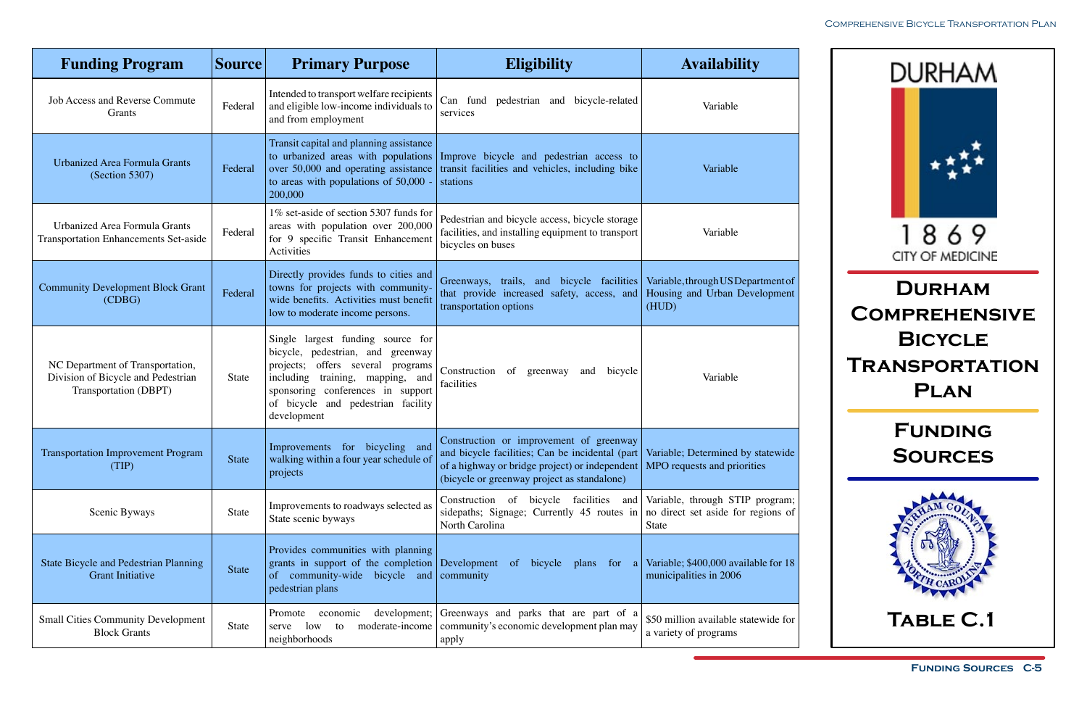

| <b>Funding Program</b>                                                                          | <b>Source</b> | <b>Primary Purpose</b>                                                                                                                                                                                                                          | <b>Eligibility</b>                                                                                                                                                                          | <b>Availability</b>                                                            |
|-------------------------------------------------------------------------------------------------|---------------|-------------------------------------------------------------------------------------------------------------------------------------------------------------------------------------------------------------------------------------------------|---------------------------------------------------------------------------------------------------------------------------------------------------------------------------------------------|--------------------------------------------------------------------------------|
| <b>Job Access and Reverse Commute</b><br>Grants                                                 | Federal       | Intended to transport welfare recipients<br>and eligible low-income individuals to<br>and from employment                                                                                                                                       | Can fund pedestrian and bicycle-related<br>services                                                                                                                                         | Variable                                                                       |
| <b>Urbanized Area Formula Grants</b><br>(Section 5307)                                          | Federal       | Transit capital and planning assistance<br>to urbanized areas with populations<br>over 50,000 and operating assistance<br>to areas with populations of 50,000 -<br>200,000                                                                      | Improve bicycle and pedestrian access to<br>transit facilities and vehicles, including bike<br>stations                                                                                     | Variable                                                                       |
| Urbanized Area Formula Grants<br><b>Transportation Enhancements Set-aside</b>                   | Federal       | 1% set-aside of section 5307 funds for<br>areas with population over 200,000<br>for 9 specific Transit Enhancement<br>Activities                                                                                                                | Pedestrian and bicycle access, bicycle storage<br>facilities, and installing equipment to transport<br>bicycles on buses                                                                    | Variable                                                                       |
| <b>Community Development Block Grant</b><br>(CDBG)                                              | Federal       | Directly provides funds to cities and<br>towns for projects with community-<br>wide benefits. Activities must benefit<br>low to moderate income persons.                                                                                        | Greenways, trails, and bicycle facilities<br>that provide increased safety, access, and<br>transportation options                                                                           | Variable, through US Department of<br>Housing and Urban Development<br>(HUD)   |
| NC Department of Transportation,<br>Division of Bicycle and Pedestrian<br>Transportation (DBPT) | State         | Single largest funding source for<br>bicycle, pedestrian, and greenway<br>projects; offers several<br>programs<br>training, mapping, and<br>including<br>sponsoring conferences in support<br>of bicycle and pedestrian facility<br>development | Construction of greenway<br>bicycle<br>and<br>facilities                                                                                                                                    | Variable                                                                       |
| <b>Transportation Improvement Program</b><br>(TIP)                                              | <b>State</b>  | Improvements for bicycling and<br>walking within a four year schedule of<br>projects                                                                                                                                                            | Construction or improvement of greenway<br>and bicycle facilities; Can be incidental (part<br>of a highway or bridge project) or independent<br>(bicycle or greenway project as standalone) | Variable; Determined by statewide<br>MPO requests and priorities               |
| Scenic Byways                                                                                   | State         | Improvements to roadways selected as<br>State scenic byways                                                                                                                                                                                     | Construction of bicycle facilities<br>and<br>sidepaths; Signage; Currently 45 routes in<br>North Carolina                                                                                   | Variable, through STIP program;<br>no direct set aside for regions of<br>State |
| <b>State Bicycle and Pedestrian Planning</b><br><b>Grant Initiative</b>                         | State         | Provides communities with planning<br>grants in support of the completion Development<br>community-wide bicycle and<br><sub>of</sub><br>pedestrian plans                                                                                        | bicycle plans for a<br>$\circ$ f<br>community                                                                                                                                               | Variable; \$400,000 available for 18<br>municipalities in 2006                 |
| <b>Small Cities Community Development</b><br><b>Block Grants</b>                                | State         | development;<br>Promote<br>economic<br>moderate-income<br>low<br>serve<br>to<br>neighborhoods                                                                                                                                                   | Greenways and parks that are part of a<br>community's economic development plan may<br>apply                                                                                                | \$50 million available statewide for<br>a variety of programs                  |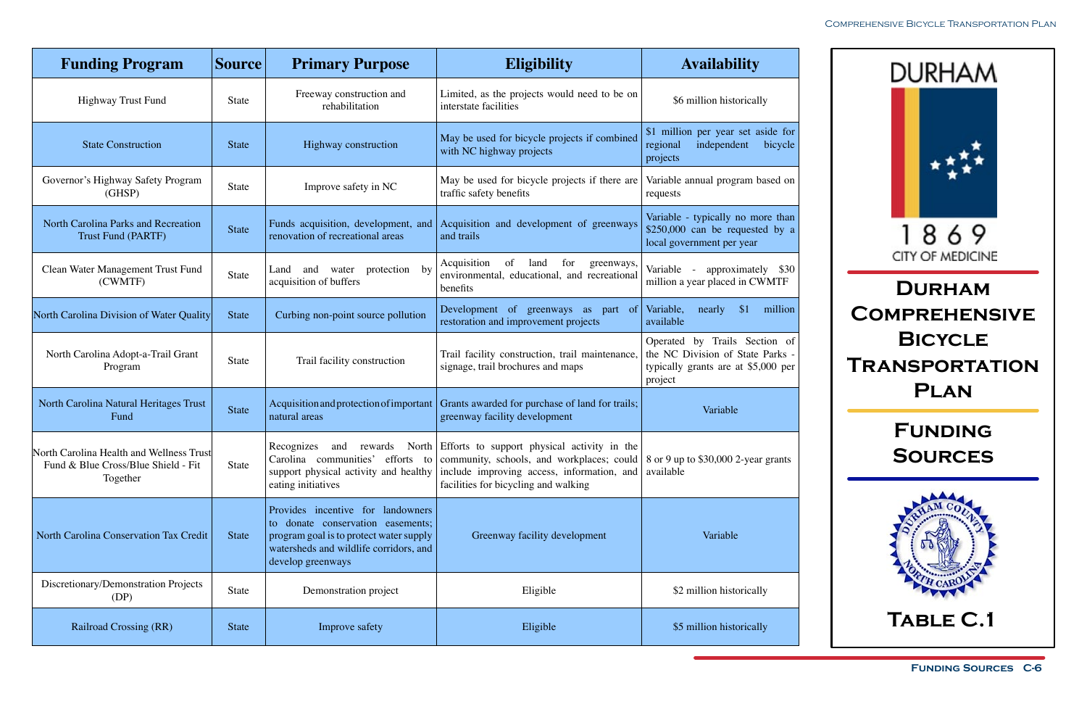

| <b>Funding Program</b>                                                                      | <b>Source</b> | <b>Primary Purpose</b>                                                                                                                                                           | <b>Eligibility</b>                                                                                                                                                                                                                                                                                                               | <b>Availability</b>                                                                                                 |
|---------------------------------------------------------------------------------------------|---------------|----------------------------------------------------------------------------------------------------------------------------------------------------------------------------------|----------------------------------------------------------------------------------------------------------------------------------------------------------------------------------------------------------------------------------------------------------------------------------------------------------------------------------|---------------------------------------------------------------------------------------------------------------------|
| <b>Highway Trust Fund</b>                                                                   | State         | Freeway construction and<br>rehabilitation                                                                                                                                       | Limited, as the projects would need to be on<br>interstate facilities                                                                                                                                                                                                                                                            | \$6 million historically                                                                                            |
| <b>State Construction</b>                                                                   | <b>State</b>  | Highway construction                                                                                                                                                             | May be used for bicycle projects if combined<br>with NC highway projects                                                                                                                                                                                                                                                         | \$1 million per year set aside for<br>independent<br>bicycle<br>regional<br>projects                                |
| Governor's Highway Safety Program<br>(GHSP)                                                 | State         | Improve safety in NC                                                                                                                                                             | May be used for bicycle projects if there are<br>traffic safety benefits                                                                                                                                                                                                                                                         | Variable annual program based on<br>requests                                                                        |
| North Carolina Parks and Recreation<br><b>Trust Fund (PARTF)</b>                            | State         | renovation of recreational areas                                                                                                                                                 | Funds acquisition, development, and Acquisition and development of greenways<br>and trails                                                                                                                                                                                                                                       | Variable - typically no more than<br>\$250,000 can be requested by a<br>local government per year                   |
| Clean Water Management Trust Fund<br>(CWMTF)                                                | State         | protection by<br>and<br>water<br>Land<br>acquisition of buffers                                                                                                                  | Acquisition<br>of<br>land<br>for<br>greenways,<br>environmental, educational, and recreational<br>benefits                                                                                                                                                                                                                       | Variable -<br>approximately \$30<br>million a year placed in CWMTF                                                  |
| North Carolina Division of Water Quality                                                    | <b>State</b>  | Curbing non-point source pollution                                                                                                                                               | Development of greenways as part of<br>restoration and improvement projects                                                                                                                                                                                                                                                      | Variable,<br>\$1<br>nearly<br>million<br>available                                                                  |
| North Carolina Adopt-a-Trail Grant<br>Program                                               | State         | Trail facility construction                                                                                                                                                      | Trail facility construction, trail maintenance,<br>signage, trail brochures and maps                                                                                                                                                                                                                                             | Operated by Trails Section of<br>the NC Division of State Parks -<br>typically grants are at \$5,000 per<br>project |
| North Carolina Natural Heritages Trust<br>Fund                                              | State         | Acquisition and protection of important<br>natural areas                                                                                                                         | Grants awarded for purchase of land for trails;<br>greenway facility development                                                                                                                                                                                                                                                 | Variable                                                                                                            |
| North Carolina Health and Wellness Trust<br>Fund & Blue Cross/Blue Shield - Fit<br>Together | State         | eating initiatives                                                                                                                                                               | Recognizes and rewards North Efforts to support physical activity in the<br>Carolina communities' efforts to community, schools, and workplaces; could 8 or 9 up to \$30,000 2-year grants<br>support physical activity and healthy include improving access, information, and available<br>facilities for bicycling and walking |                                                                                                                     |
| North Carolina Conservation Tax Credit                                                      | State         | Provides incentive for landowners<br>to donate conservation easements;<br>program goal is to protect water supply<br>watersheds and wildlife corridors, and<br>develop greenways | Greenway facility development                                                                                                                                                                                                                                                                                                    | Variable                                                                                                            |
| Discretionary/Demonstration Projects<br>(DP)                                                | State         | Demonstration project                                                                                                                                                            | Eligible                                                                                                                                                                                                                                                                                                                         | \$2 million historically                                                                                            |
| <b>Railroad Crossing (RR)</b>                                                               | State         | Improve safety                                                                                                                                                                   | Eligible                                                                                                                                                                                                                                                                                                                         | \$5 million historically                                                                                            |